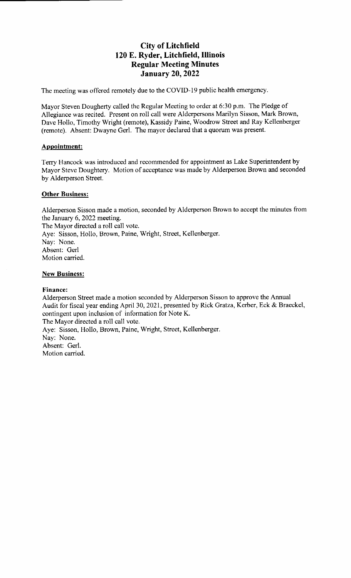# City of Litchfield 120 E. Ryder, Litchfield, Illinois Regular Meeting Minutes January 20, 2022

The meeting was offered remotely due to the COVID-19 public health emergency.

Mayor Steven Dougherty called the Regular Meeting to order at 6:30 p.m. The Pledge of Allegiance was recited. Present on roll call were Alderpersons Marilyn Sisson, Mark Brown, Dave Hollo, Timothy Wright (remote), Kassidy Paine, Woodrow Street and Ray Kellenberger (remote). Absent: Dwayne Gerl. The mayor declared that a quorum was present.

## Appointment:

Terry Hancock was introduced and recommended for appointment as Lake Superintendent by Mayor Steve Doughtery. Motion of acceptance was made by Alderperson Brown and seconded by Alderperson Street.

### **Other Business:**

Alderperson Sisson made a motion, seconded by Aldcrperson Brown to accept the minutes from the January 6, 2022 meeting. The Mayor directed a roll call vote. Aye: Sisson, Hollo, Brown, Paine, Wright, Street, Kellenberger. Nay: None. Absent: Gerl Motion carried.

### **New Business:**

### Finance:

Alderperson Street made a motion seconded by Alderperson Sisson to approve the Annual Audit for fiscal year ending April 30, 2021, presented by Rick Gratza, Kerber, Eck & Braeckel, contingent upon inclusion of information for Note K\_ The Mayor directed <sup>a</sup> roll call vote. Aye: Sisson, Hollo, Brown, Paine, Wright, Street, Kellenberger. Nay: None. Absent: Gerl. Motion carried.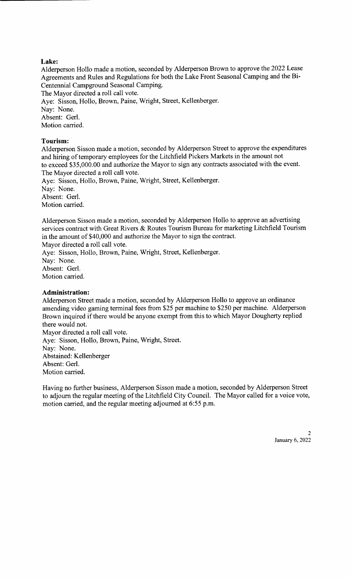## Lake:

Alderperson Hollo made a motion, seconded by Alderperson Brown to approve the 2022 Lease Agreements and Rules and Regulations for both the Lake Front Seasonal Camping and the Bi-Centennial Campground Seasonal Camping. The Mayor directed a roll call vote. Aye: Sisson, Hollo, Brown, Paine, Wright, Street, Kellenberger. Nay: None.

Absent: Gerl.

Motion carried.

### Tourism:

Alderperson Sisson made a motion, seconded by Alderperson Street to approve the expenditures and hiring of temporary employees for the Litchfield Pickers Markets in the amount not to exceed \$35, 000.00 and authorize the Mayor to sign any contracts associated with the event. The Mayor directed a roll call vote. Aye: Sisson, Hollo, Brown, Paine, Wright, Street, Kellenberger. Nay: None.

Absent: Gerl.

Motion carried.

Alderperson Sisson made a motion, seconded by Alderperson Hollo to approve an advertising services contract with Great Rivers & Routes Tourism Bureau for marketing Litchfield Tourism in the amount of \$40,000 and authorize the Mayor to sign the contract.

Mayor directed a roll call vote.

Aye: Sisson, Hollo, Brown, Paine, Wright, Street, Kellenberger. Nay: None. Absent: Gerl. Motion carried.

### Administration:

Alderperson Street made a motion, seconded by Alderperson Hollo to approve an ordinance amending video gaming terminal fees from \$25 per machine to \$250 per machine. Alderperson Brown inquired if there would be anyone exempt from this to which Mayor Dougherty replied there would not.

Mayor directed a roll call vote. Aye: Sisson, Hollo, Brown, Paine, Wright, Street. Nay: None. Abstained: Kellenberger Absent: Gerl. Motion carried.

Having no further business, Alderperson Sisson made a motion, seconded by Alderperson Street to adjourn the regular meeting of the Litchfield City Council. The Mayor called for <sup>a</sup> voice vote, motion carried, and the regular meeting adjourned at 6:55 p.m.

> $\mathcal{D}$ January 6, 2022